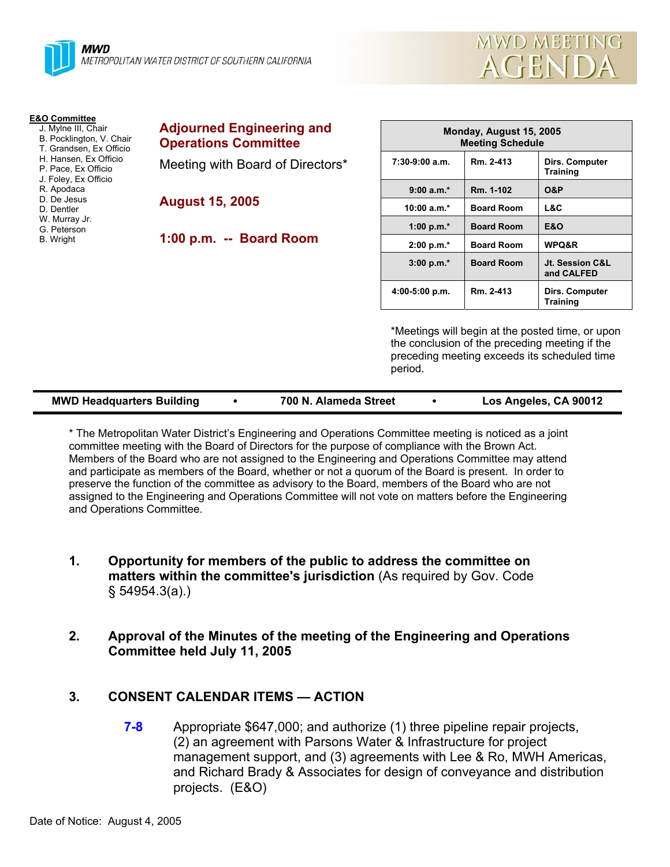

| <b>E&amp;O Committee</b><br>J. Mylne III, Chair<br>B. Pocklington, V. Chair<br>T. Grandsen, Ex Officio<br>H. Hansen, Ex Officio<br>P. Pace, Ex Officio<br>J. Foley, Ex Officio<br>R. Apodaca<br>D. De Jesus<br>D. Dentler<br>W. Murray Jr.<br>G. Peterson<br>B. Wright | <b>Adjourned Engineering and</b> | Monday, August 15, 2005<br><b>Meeting Schedule</b> |                   |                                          |
|------------------------------------------------------------------------------------------------------------------------------------------------------------------------------------------------------------------------------------------------------------------------|----------------------------------|----------------------------------------------------|-------------------|------------------------------------------|
|                                                                                                                                                                                                                                                                        | <b>Operations Committee</b>      |                                                    |                   |                                          |
|                                                                                                                                                                                                                                                                        | Meeting with Board of Directors* | $7:30-9:00$ a.m.                                   | Rm. 2-413         | <b>Dirs. Computer</b><br><b>Training</b> |
|                                                                                                                                                                                                                                                                        | <b>August 15, 2005</b>           | $9:00 a.m.*$                                       | Rm. 1-102         | <b>O&amp;P</b>                           |
|                                                                                                                                                                                                                                                                        |                                  | $10:00 a.m.*$                                      | <b>Board Room</b> | L&C                                      |
|                                                                                                                                                                                                                                                                        | 1:00 p.m. -- Board Room          | 1:00 p.m. $*$                                      | <b>Board Room</b> | <b>E&amp;O</b>                           |
|                                                                                                                                                                                                                                                                        |                                  | $2:00 p.m.*$                                       | <b>Board Room</b> | WPQ&R                                    |
|                                                                                                                                                                                                                                                                        |                                  | $3:00 p.m.*$                                       | <b>Board Room</b> | Jt. Session C&L<br>and CALFED            |
|                                                                                                                                                                                                                                                                        |                                  |                                                    |                   |                                          |

\*Meetings will begin at the posted time, or upon the conclusion of the preceding meeting if the preceding meeting exceeds its scheduled time period.

**4:00-5:00 p.m. Rm. 2-413 Dirs. Computer** 

**Training** 

MWD MEETING

**AGENDA** 

| <b>MWD Headquarters Building</b> | Los Angeles, CA 90012<br>700 N. Alameda Street |
|----------------------------------|------------------------------------------------|
|----------------------------------|------------------------------------------------|

\* The Metropolitan Water District's Engineering and Operations Committee meeting is noticed as a joint committee meeting with the Board of Directors for the purpose of compliance with the Brown Act. Members of the Board who are not assigned to the Engineering and Operations Committee may attend and participate as members of the Board, whether or not a quorum of the Board is present. In order to preserve the function of the committee as advisory to the Board, members of the Board who are not assigned to the Engineering and Operations Committee will not vote on matters before the Engineering and Operations Committee.

- **1. Opportunity for members of the public to address the committee on matters within the committee's jurisdiction** (As required by Gov. Code § 54954.3(a).)
- **2. Approval of the Minutes of the meeting of the Engineering and Operations Committee held July 11, 2005**

#### **3. CONSENT CALENDAR ITEMS — ACTION**

**7-8** Appropriate \$647,000; and authorize (1) three pipeline repair projects, (2) an agreement with Parsons Water & Infrastructure for project management support, and (3) agreements with Lee & Ro, MWH Americas, and Richard Brady & Associates for design of conveyance and distribution projects. (E&O)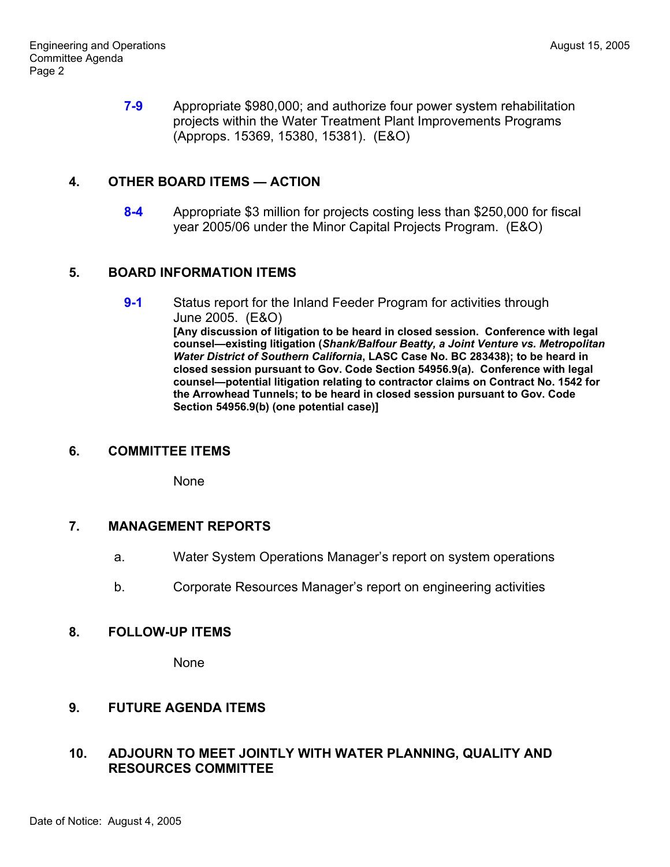**7-9** Appropriate \$980,000; and authorize four power system rehabilitation projects within the Water Treatment Plant Improvements Programs (Approps. 15369, 15380, 15381). (E&O)

### **4. OTHER BOARD ITEMS — ACTION**

**8-4** Appropriate \$3 million for projects costing less than \$250,000 for fiscal year 2005/06 under the Minor Capital Projects Program. (E&O)

### **5. BOARD INFORMATION ITEMS**

**9-1** Status report for the Inland Feeder Program for activities through June 2005. (E&O) **[Any discussion of litigation to be heard in closed session. Conference with legal counsel—existing litigation (***Shank/Balfour Beatty, a Joint Venture vs. Metropolitan Water District of Southern California***, LASC Case No. BC 283438); to be heard in closed session pursuant to Gov. Code Section 54956.9(a). Conference with legal counsel—potential litigation relating to contractor claims on Contract No. 1542 for the Arrowhead Tunnels; to be heard in closed session pursuant to Gov. Code Section 54956.9(b) (one potential case)]**

#### **6. COMMITTEE ITEMS**

None

#### **7. MANAGEMENT REPORTS**

- a. Water System Operations Manager's report on system operations
- b. Corporate Resources Manager's report on engineering activities

#### **8. FOLLOW-UP ITEMS**

**None** 

# **9. FUTURE AGENDA ITEMS**

# **10. ADJOURN TO MEET JOINTLY WITH WATER PLANNING, QUALITY AND RESOURCES COMMITTEE**